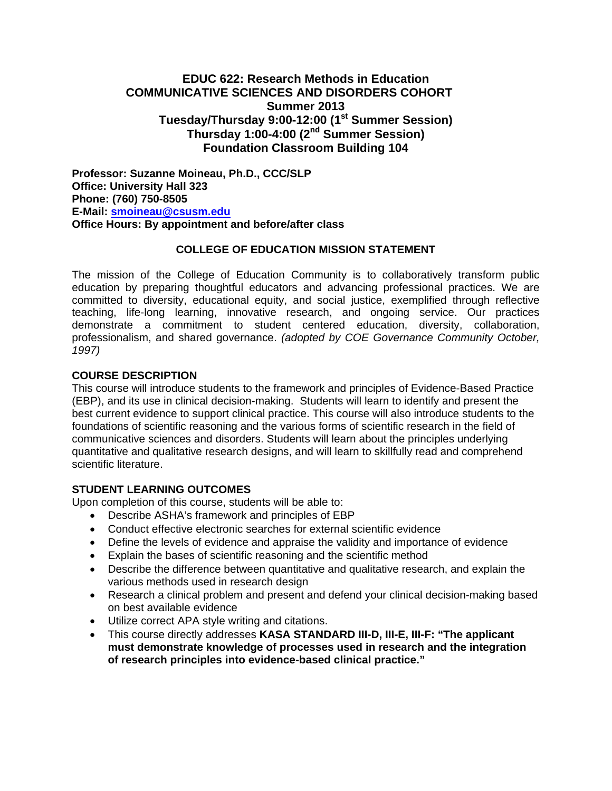# **EDUC 622: Research Methods in Education COMMUNICATIVE SCIENCES AND DISORDERS COHORT Summer 2013 Tuesday/Thursday 9:00-12:00 (1st Summer Session) Thursday 1:00-4:00 (2nd Summer Session) Foundation Classroom Building 104**

**Professor: Suzanne Moineau, Ph.D., CCC/SLP Office: University Hall 323 Phone: (760) 750-8505 E-Mail: smoineau@csusm.edu Office Hours: By appointment and before/after class** 

### **COLLEGE OF EDUCATION MISSION STATEMENT**

The mission of the College of Education Community is to collaboratively transform public education by preparing thoughtful educators and advancing professional practices. We are committed to diversity, educational equity, and social justice, exemplified through reflective teaching, life-long learning, innovative research, and ongoing service. Our practices demonstrate a commitment to student centered education, diversity, collaboration, professionalism, and shared governance. *(adopted by COE Governance Community October, 1997)* 

### **COURSE DESCRIPTION**

This course will introduce students to the framework and principles of Evidence-Based Practice (EBP), and its use in clinical decision-making. Students will learn to identify and present the best current evidence to support clinical practice. This course will also introduce students to the foundations of scientific reasoning and the various forms of scientific research in the field of communicative sciences and disorders. Students will learn about the principles underlying quantitative and qualitative research designs, and will learn to skillfully read and comprehend scientific literature.

# **STUDENT LEARNING OUTCOMES**

Upon completion of this course, students will be able to:

- Describe ASHA's framework and principles of EBP
- Conduct effective electronic searches for external scientific evidence
- Define the levels of evidence and appraise the validity and importance of evidence
- Explain the bases of scientific reasoning and the scientific method
- Describe the difference between quantitative and qualitative research, and explain the various methods used in research design
- Research a clinical problem and present and defend your clinical decision-making based on best available evidence
- Utilize correct APA style writing and citations.
- This course directly addresses **KASA STANDARD III-D, III-E, III-F: "The applicant must demonstrate knowledge of processes used in research and the integration of research principles into evidence-based clinical practice."**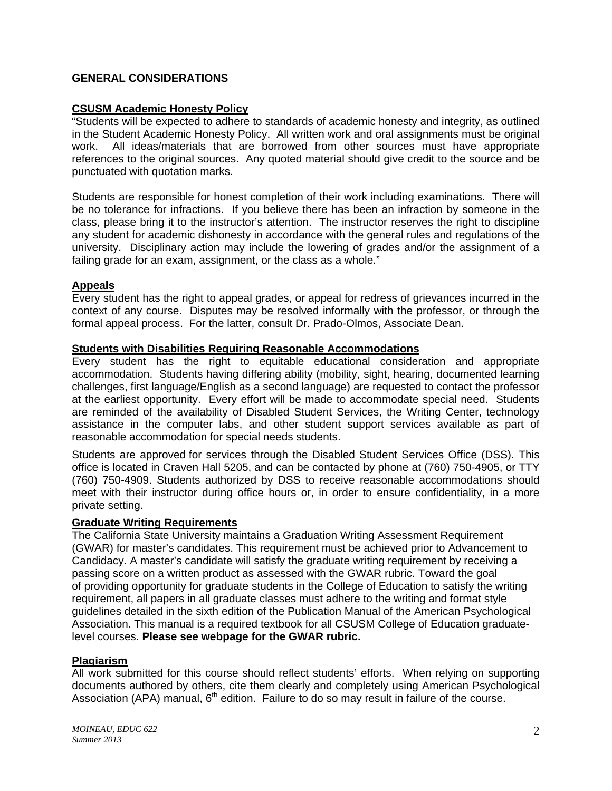# **GENERAL CONSIDERATIONS**

### **CSUSM Academic Honesty Policy**

"Students will be expected to adhere to standards of academic honesty and integrity, as outlined in the Student Academic Honesty Policy. All written work and oral assignments must be original work. All ideas/materials that are borrowed from other sources must have appropriate references to the original sources. Any quoted material should give credit to the source and be punctuated with quotation marks.

Students are responsible for honest completion of their work including examinations. There will be no tolerance for infractions. If you believe there has been an infraction by someone in the class, please bring it to the instructor's attention. The instructor reserves the right to discipline any student for academic dishonesty in accordance with the general rules and regulations of the university. Disciplinary action may include the lowering of grades and/or the assignment of a failing grade for an exam, assignment, or the class as a whole."

### **Appeals**

Every student has the right to appeal grades, or appeal for redress of grievances incurred in the context of any course. Disputes may be resolved informally with the professor, or through the formal appeal process. For the latter, consult Dr. Prado-Olmos, Associate Dean.

### **Students with Disabilities Requiring Reasonable Accommodations**

Every student has the right to equitable educational consideration and appropriate accommodation. Students having differing ability (mobility, sight, hearing, documented learning challenges, first language/English as a second language) are requested to contact the professor at the earliest opportunity. Every effort will be made to accommodate special need. Students are reminded of the availability of Disabled Student Services, the Writing Center, technology assistance in the computer labs, and other student support services available as part of reasonable accommodation for special needs students.

Students are approved for services through the Disabled Student Services Office (DSS). This office is located in Craven Hall 5205, and can be contacted by phone at (760) 750-4905, or TTY (760) 750-4909. Students authorized by DSS to receive reasonable accommodations should meet with their instructor during office hours or, in order to ensure confidentiality, in a more private setting.

### **Graduate Writing Requirements**

The California State University maintains a Graduation Writing Assessment Requirement (GWAR) for master's candidates. This requirement must be achieved prior to Advancement to Candidacy. A master's candidate will satisfy the graduate writing requirement by receiving a passing score on a written product as assessed with the GWAR rubric. Toward the goal of providing opportunity for graduate students in the College of Education to satisfy the writing requirement, all papers in all graduate classes must adhere to the writing and format style guidelines detailed in the sixth edition of the Publication Manual of the American Psychological Association. This manual is a required textbook for all CSUSM College of Education graduatelevel courses. **Please see webpage for the GWAR rubric.** 

### **Plagiarism**

All work submitted for this course should reflect students' efforts. When relying on supporting documents authored by others, cite them clearly and completely using American Psychological Association (APA) manual,  $6<sup>th</sup>$  edition. Failure to do so may result in failure of the course.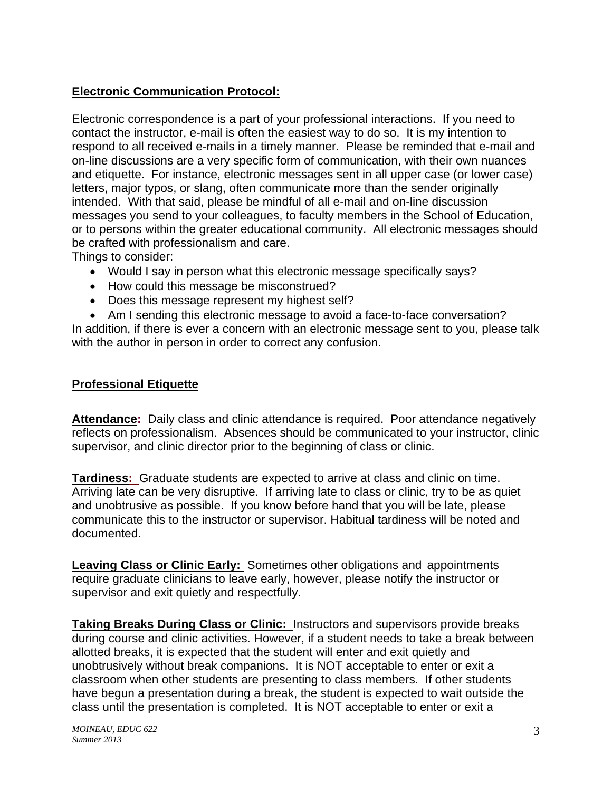# **Electronic Communication Protocol:**

Electronic correspondence is a part of your professional interactions. If you need to contact the instructor, e-mail is often the easiest way to do so. It is my intention to respond to all received e-mails in a timely manner. Please be reminded that e-mail and on-line discussions are a very specific form of communication, with their own nuances and etiquette. For instance, electronic messages sent in all upper case (or lower case) letters, major typos, or slang, often communicate more than the sender originally intended. With that said, please be mindful of all e-mail and on-line discussion messages you send to your colleagues, to faculty members in the School of Education, or to persons within the greater educational community. All electronic messages should be crafted with professionalism and care.

Things to consider:

- Would I say in person what this electronic message specifically says?
- How could this message be misconstrued?
- Does this message represent my highest self?
- Am I sending this electronic message to avoid a face-to-face conversation?

In addition, if there is ever a concern with an electronic message sent to you, please talk with the author in person in order to correct any confusion.

# **Professional Etiquette**

Attendance: Daily class and clinic attendance is required. Poor attendance negatively reflects on professionalism. Absences should be communicated to your instructor, clinic supervisor, and clinic director prior to the beginning of class or clinic.

**Tardiness:** Graduate students are expected to arrive at class and clinic on time. Arriving late can be very disruptive. If arriving late to class or clinic, try to be as quiet and unobtrusive as possible. If you know before hand that you will be late, please communicate this to the instructor or supervisor. Habitual tardiness will be noted and documented.

**Leaving Class or Clinic Early:** Sometimes other obligations and appointments require graduate clinicians to leave early, however, please notify the instructor or supervisor and exit quietly and respectfully.

**Taking Breaks During Class or Clinic:** Instructors and supervisors provide breaks during course and clinic activities. However, if a student needs to take a break between allotted breaks, it is expected that the student will enter and exit quietly and unobtrusively without break companions. It is NOT acceptable to enter or exit a classroom when other students are presenting to class members. If other students have begun a presentation during a break, the student is expected to wait outside the class until the presentation is completed. It is NOT acceptable to enter or exit a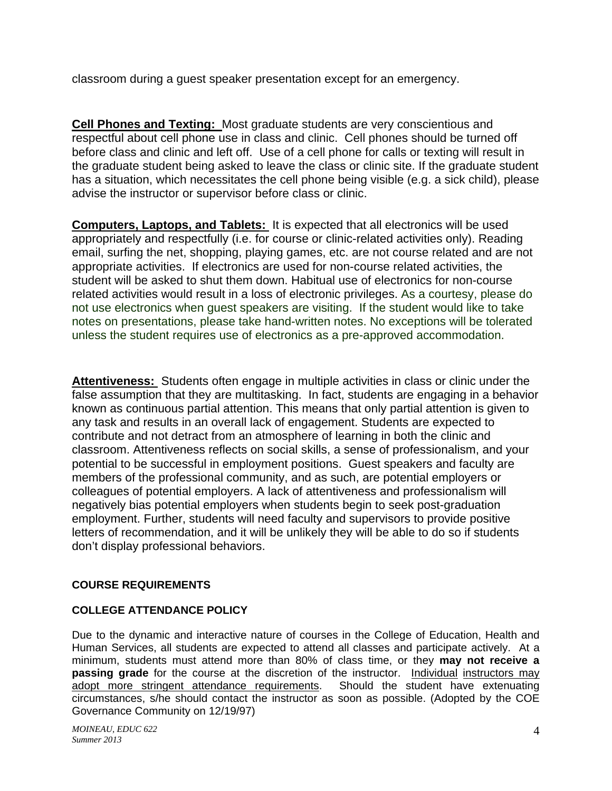classroom during a guest speaker presentation except for an emergency.

**Cell Phones and Texting:** Most graduate students are very conscientious and respectful about cell phone use in class and clinic. Cell phones should be turned off before class and clinic and left off. Use of a cell phone for calls or texting will result in the graduate student being asked to leave the class or clinic site. If the graduate student has a situation, which necessitates the cell phone being visible (e.g. a sick child), please advise the instructor or supervisor before class or clinic.

**Computers, Laptops, and Tablets:** It is expected that all electronics will be used appropriately and respectfully (i.e. for course or clinic-related activities only). Reading email, surfing the net, shopping, playing games, etc. are not course related and are not appropriate activities. If electronics are used for non-course related activities, the student will be asked to shut them down. Habitual use of electronics for non-course related activities would result in a loss of electronic privileges. As a courtesy, please do not use electronics when guest speakers are visiting. If the student would like to take notes on presentations, please take hand-written notes. No exceptions will be tolerated unless the student requires use of electronics as a pre-approved accommodation.

**Attentiveness:** Students often engage in multiple activities in class or clinic under the false assumption that they are multitasking. In fact, students are engaging in a behavior known as continuous partial attention. This means that only partial attention is given to any task and results in an overall lack of engagement. Students are expected to contribute and not detract from an atmosphere of learning in both the clinic and classroom. Attentiveness reflects on social skills, a sense of professionalism, and your potential to be successful in employment positions. Guest speakers and faculty are members of the professional community, and as such, are potential employers or colleagues of potential employers. A lack of attentiveness and professionalism will negatively bias potential employers when students begin to seek post-graduation employment. Further, students will need faculty and supervisors to provide positive letters of recommendation, and it will be unlikely they will be able to do so if students don't display professional behaviors.

# **COURSE REQUIREMENTS**

# **COLLEGE ATTENDANCE POLICY**

 Due to the dynamic and interactive nature of courses in the College of Education, Health and Human Services, all students are expected to attend all classes and participate actively. At a minimum, students must attend more than 80% of class time, or they **may not receive a passing grade** for the course at the discretion of the instructor. Individual instructors may adopt more stringent attendance requirements. Should the student have extenuating circumstances, s/he should contact the instructor as soon as possible. (Adopted by the COE Governance Community on 12/19/97)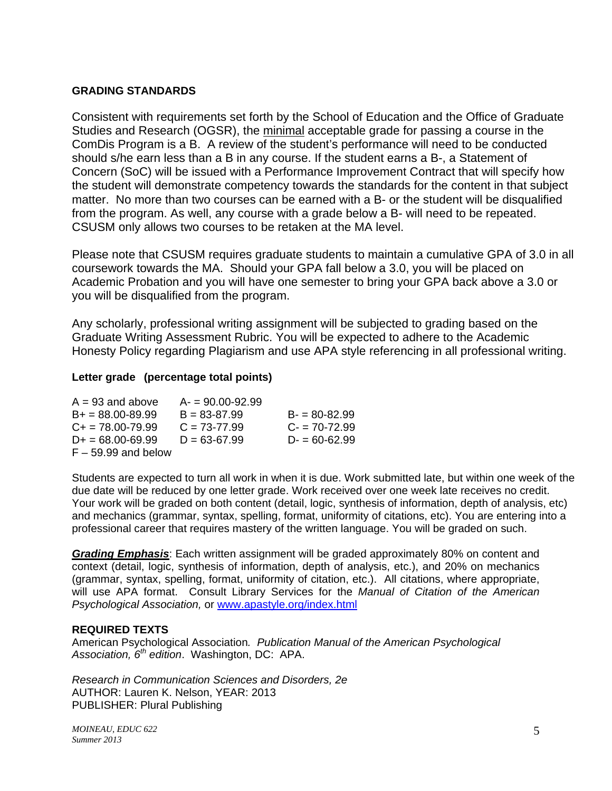### **GRADING STANDARDS**

Consistent with requirements set forth by the School of Education and the Office of Graduate Studies and Research (OGSR), the minimal acceptable grade for passing a course in the ComDis Program is a B. A review of the student's performance will need to be conducted should s/he earn less than a B in any course. If the student earns a B-, a Statement of Concern (SoC) will be issued with a Performance Improvement Contract that will specify how the student will demonstrate competency towards the standards for the content in that subject matter. No more than two courses can be earned with a B- or the student will be disqualified from the program. As well, any course with a grade below a B- will need to be repeated. CSUSM only allows two courses to be retaken at the MA level.

Please note that CSUSM requires graduate students to maintain a cumulative GPA of 3.0 in all coursework towards the MA. Should your GPA fall below a 3.0, you will be placed on Academic Probation and you will have one semester to bring your GPA back above a 3.0 or you will be disqualified from the program.

Any scholarly, professional writing assignment will be subjected to grading based on the Graduate Writing Assessment Rubric. You will be expected to adhere to the Academic Honesty Policy regarding Plagiarism and use APA style referencing in all professional writing.

# **Letter grade (percentage total points)**

| $A = 93$ and above         | $A = 90.00 - 92.99$ |                  |
|----------------------------|---------------------|------------------|
| $B+ = 88.00 - 89.99$       | $B = 83 - 87.99$    | $B = 80 - 82.99$ |
| $C_{\rm{+}}$ = 78.00-79.99 | $C = 73-77.99$      | $C - 70 - 72.99$ |
| $D+ = 68.00 - 69.99$       | $D = 63 - 67.99$    | $D = 60 - 62.99$ |
| $F - 59.99$ and below      |                     |                  |

 due date will be reduced by one letter grade. Work received over one week late receives no credit. Students are expected to turn all work in when it is due. Work submitted late, but within one week of the Your work will be graded on both content (detail, logic, synthesis of information, depth of analysis, etc) and mechanics (grammar, syntax, spelling, format, uniformity of citations, etc). You are entering into a professional career that requires mastery of the written language. You will be graded on such.

 will use APA format. Consult Library Services for the *Manual of Citation of the American Grading Emphasis*: Each written assignment will be graded approximately 80% on content and context (detail, logic, synthesis of information, depth of analysis, etc.), and 20% on mechanics (grammar, syntax, spelling, format, uniformity of citation, etc.). All citations, where appropriate, *Psychological Association,* or www.apastyle.org/index.html

### **REQUIRED TEXTS**

American Psychological Association*. Publication Manual of the American Psychological Association, 6th edition*. Washington, DC: APA.

*Research in Communication Sciences and Disorders, 2e*  AUTHOR: Lauren K. Nelson, YEAR: 2013 PUBLISHER: Plural Publishing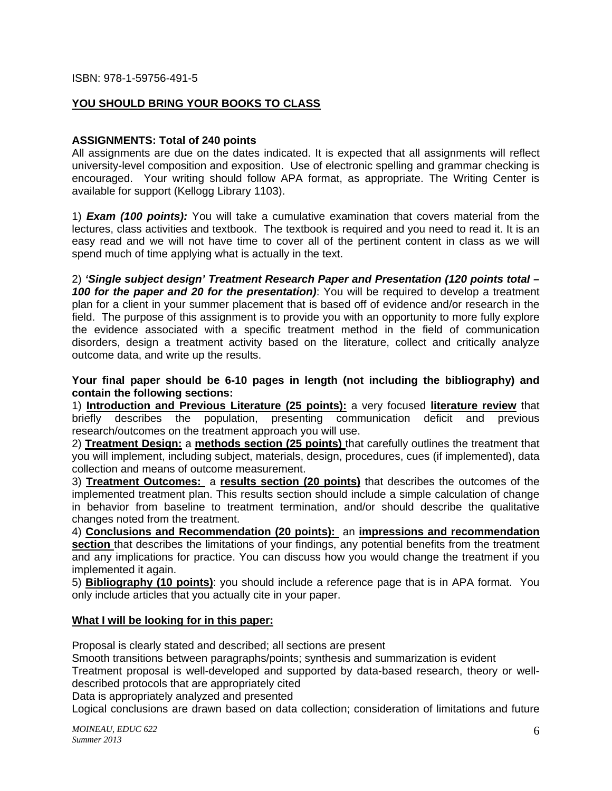# **YOU SHOULD BRING YOUR BOOKS TO CLASS**

### **ASSIGNMENTS: Total of 240 points**

All assignments are due on the dates indicated. It is expected that all assignments will reflect university-level composition and exposition. Use of electronic spelling and grammar checking is encouraged. Your writing should follow APA format, as appropriate. The Writing Center is available for support (Kellogg Library 1103).

1) *Exam (100 points):* You will take a cumulative examination that covers material from the lectures, class activities and textbook. The textbook is required and you need to read it. It is an easy read and we will not have time to cover all of the pertinent content in class as we will spend much of time applying what is actually in the text.

2) *'Single subject design' Treatment Research Paper and Presentation (120 points total – 100 for the paper and 20 for the presentation)*: You will be required to develop a treatment plan for a client in your summer placement that is based off of evidence and/or research in the field. The purpose of this assignment is to provide you with an opportunity to more fully explore the evidence associated with a specific treatment method in the field of communication disorders, design a treatment activity based on the literature, collect and critically analyze outcome data, and write up the results.

**Your final paper should be 6-10 pages in length (not including the bibliography) and contain the following sections:** 

1) **Introduction and Previous Literature (25 points):** a very focused **literature review** that briefly describes the population, presenting communication deficit and previous research/outcomes on the treatment approach you will use.

2) **Treatment Design:** a **methods section (25 points)** that carefully outlines the treatment that you will implement, including subject, materials, design, procedures, cues (if implemented), data collection and means of outcome measurement.

3) **Treatment Outcomes:** a **results section (20 points)** that describes the outcomes of the implemented treatment plan. This results section should include a simple calculation of change in behavior from baseline to treatment termination, and/or should describe the qualitative changes noted from the treatment.

4) **Conclusions and Recommendation (20 points):** an **impressions and recommendation**  section that describes the limitations of your findings, any potential benefits from the treatment and any implications for practice. You can discuss how you would change the treatment if you implemented it again.

5) **Bibliography (10 points)**: you should include a reference page that is in APA format. You only include articles that you actually cite in your paper.

### **What I will be looking for in this paper:**

Proposal is clearly stated and described; all sections are present

Smooth transitions between paragraphs/points; synthesis and summarization is evident

Treatment proposal is well-developed and supported by data-based research, theory or welldescribed protocols that are appropriately cited

Data is appropriately analyzed and presented

Logical conclusions are drawn based on data collection; consideration of limitations and future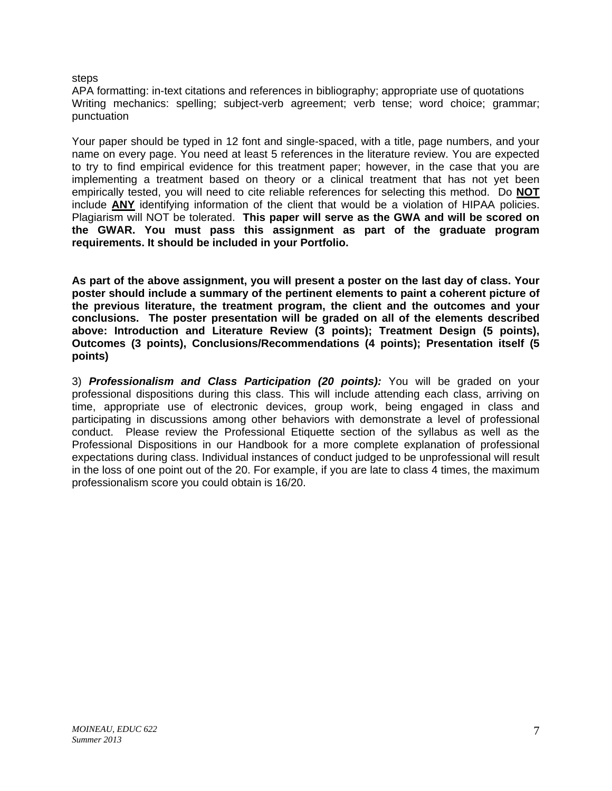#### steps

APA formatting: in-text citations and references in bibliography; appropriate use of quotations Writing mechanics: spelling; subject-verb agreement; verb tense; word choice; grammar; punctuation

Your paper should be typed in 12 font and single-spaced, with a title, page numbers, and your name on every page. You need at least 5 references in the literature review. You are expected to try to find empirical evidence for this treatment paper; however, in the case that you are implementing a treatment based on theory or a clinical treatment that has not yet been empirically tested, you will need to cite reliable references for selecting this method. Do **NOT**  include **ANY** identifying information of the client that would be a violation of HIPAA policies. Plagiarism will NOT be tolerated. **This paper will serve as the GWA and will be scored on the GWAR. You must pass this assignment as part of the graduate program requirements. It should be included in your Portfolio.** 

**As part of the above assignment, you will present a poster on the last day of class. Your poster should include a summary of the pertinent elements to paint a coherent picture of the previous literature, the treatment program, the client and the outcomes and your conclusions. The poster presentation will be graded on all of the elements described above: Introduction and Literature Review (3 points); Treatment Design (5 points), Outcomes (3 points), Conclusions/Recommendations (4 points); Presentation itself (5 points)** 

3) *Professionalism and Class Participation (20 points):* You will be graded on your professional dispositions during this class. This will include attending each class, arriving on time, appropriate use of electronic devices, group work, being engaged in class and participating in discussions among other behaviors with demonstrate a level of professional conduct. Please review the Professional Etiquette section of the syllabus as well as the Professional Dispositions in our Handbook for a more complete explanation of professional expectations during class. Individual instances of conduct judged to be unprofessional will result in the loss of one point out of the 20. For example, if you are late to class 4 times, the maximum professionalism score you could obtain is 16/20.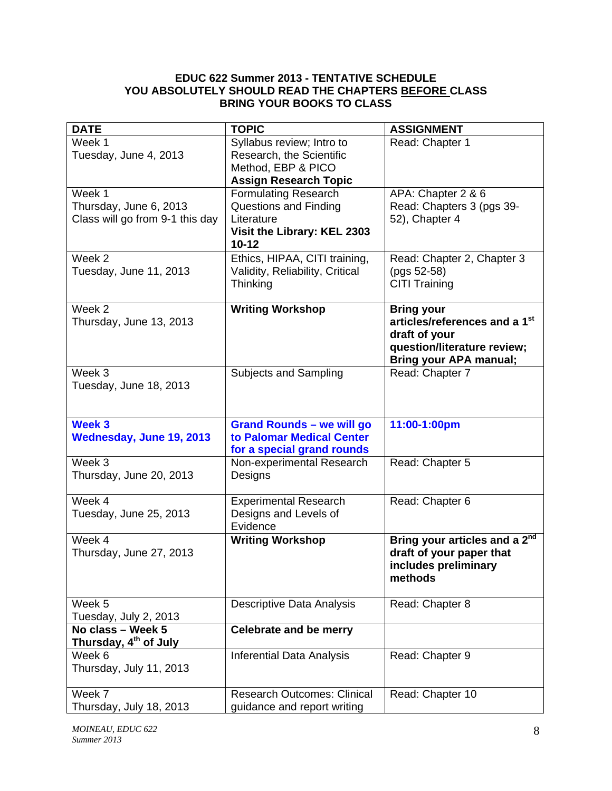# **EDUC 622 Summer 2013 - TENTATIVE SCHEDULE YOU ABSOLUTELY SHOULD READ THE CHAPTERS BEFORE CLASS BRING YOUR BOOKS TO CLASS**

| <b>DATE</b>                       | <b>TOPIC</b>                              | <b>ASSIGNMENT</b>                         |
|-----------------------------------|-------------------------------------------|-------------------------------------------|
| Week 1                            | Syllabus review; Intro to                 | Read: Chapter 1                           |
| Tuesday, June 4, 2013             | Research, the Scientific                  |                                           |
|                                   | Method, EBP & PICO                        |                                           |
|                                   | <b>Assign Research Topic</b>              |                                           |
| Week 1                            | <b>Formulating Research</b>               | APA: Chapter 2 & 6                        |
| Thursday, June 6, 2013            | <b>Questions and Finding</b>              | Read: Chapters 3 (pgs 39-                 |
| Class will go from 9-1 this day   | Literature<br>Visit the Library: KEL 2303 | 52), Chapter 4                            |
|                                   | $10 - 12$                                 |                                           |
| Week 2                            | Ethics, HIPAA, CITI training,             | Read: Chapter 2, Chapter 3                |
| Tuesday, June 11, 2013            | Validity, Reliability, Critical           | (pgs 52-58)                               |
|                                   | Thinking                                  | <b>CITI Training</b>                      |
| Week 2                            | <b>Writing Workshop</b>                   | <b>Bring your</b>                         |
| Thursday, June 13, 2013           |                                           | articles/references and a 1st             |
|                                   |                                           | draft of your                             |
|                                   |                                           | question/literature review;               |
| Week 3                            |                                           | <b>Bring your APA manual;</b>             |
| Tuesday, June 18, 2013            | Subjects and Sampling                     | Read: Chapter 7                           |
|                                   |                                           |                                           |
|                                   |                                           |                                           |
| Week 3                            | <b>Grand Rounds - we will go</b>          | 11:00-1:00pm                              |
| Wednesday, June 19, 2013          | to Palomar Medical Center                 |                                           |
|                                   | for a special grand rounds                |                                           |
| Week 3                            | Non-experimental Research                 | Read: Chapter 5                           |
| Thursday, June 20, 2013           | Designs                                   |                                           |
| Week 4                            | <b>Experimental Research</b>              | Read: Chapter 6                           |
| Tuesday, June 25, 2013            | Designs and Levels of                     |                                           |
|                                   | Evidence                                  |                                           |
| Week 4                            | <b>Writing Workshop</b>                   | Bring your articles and a 2 <sup>nd</sup> |
| Thursday, June 27, 2013           |                                           | draft of your paper that                  |
|                                   |                                           | includes preliminary                      |
|                                   |                                           | methods                                   |
| Week 5                            | Descriptive Data Analysis                 | Read: Chapter 8                           |
| Tuesday, July 2, 2013             |                                           |                                           |
| No class - Week 5                 | <b>Celebrate and be merry</b>             |                                           |
| Thursday, 4 <sup>th</sup> of July |                                           |                                           |
| Week 6                            | <b>Inferential Data Analysis</b>          | Read: Chapter 9                           |
| Thursday, July 11, 2013           |                                           |                                           |
|                                   |                                           |                                           |
| Week 7                            | <b>Research Outcomes: Clinical</b>        | Read: Chapter 10                          |
| Thursday, July 18, 2013           | guidance and report writing               |                                           |